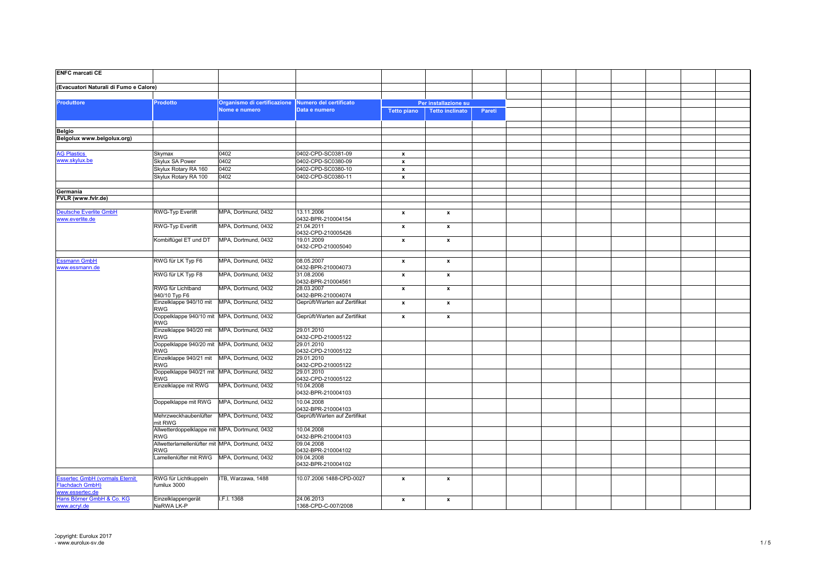| <b>ENFC marcati CE</b>                                   |                                                               |                             |                                  |                    |                           |        |  |  |  |
|----------------------------------------------------------|---------------------------------------------------------------|-----------------------------|----------------------------------|--------------------|---------------------------|--------|--|--|--|
| (Evacuatori Naturali di Fumo e Calore)                   |                                                               |                             |                                  |                    |                           |        |  |  |  |
|                                                          |                                                               |                             |                                  |                    |                           |        |  |  |  |
| <b>Produttore</b>                                        | Prodotto                                                      | Organismo di certificazione | Numero del certificato           |                    | Per installazione su      |        |  |  |  |
|                                                          |                                                               | Nome e numero               | Data e numero                    | <b>Tetto piano</b> | <b>Tetto inclinato</b>    | Pareti |  |  |  |
|                                                          |                                                               |                             |                                  |                    |                           |        |  |  |  |
| Belgio                                                   |                                                               |                             |                                  |                    |                           |        |  |  |  |
| Belgolux www.belgolux.org)                               |                                                               |                             |                                  |                    |                           |        |  |  |  |
|                                                          |                                                               |                             |                                  |                    |                           |        |  |  |  |
| <b>AG Plastics</b>                                       | Skymax                                                        | 0402                        | 0402-CPD-SC0381-09               | $\pmb{\mathsf{x}}$ |                           |        |  |  |  |
| www.skylux.be                                            | Skylux SA Power                                               | 0402                        | 0402-CPD-SC0380-09               | $\pmb{\mathsf{x}}$ |                           |        |  |  |  |
|                                                          | Skylux Rotary RA 160                                          | 0402                        | 0402-CPD-SC0380-10               | $\pmb{\mathsf{x}}$ |                           |        |  |  |  |
|                                                          | Skylux Rotary RA 100                                          | 0402                        | 0402-CPD-SC0380-11               | $\pmb{\mathsf{x}}$ |                           |        |  |  |  |
|                                                          |                                                               |                             |                                  |                    |                           |        |  |  |  |
| Germania                                                 |                                                               |                             |                                  |                    |                           |        |  |  |  |
| FVLR (www.fvlr.de)                                       |                                                               |                             |                                  |                    |                           |        |  |  |  |
|                                                          |                                                               |                             |                                  |                    |                           |        |  |  |  |
| <b>Deutsche Everlite GmbH</b><br>www.everlite.de         | <b>RWG-Typ Everlift</b>                                       | MPA, Dortmund, 0432         | 13.11.2006<br>0432-BPR-210004154 | $\pmb{\mathsf{x}}$ | $\mathbf{x}$              |        |  |  |  |
|                                                          | RWG-Typ Everlift                                              | MPA, Dortmund, 0432         | 21.04.2011<br>0432-CPD-210005426 | $\pmb{\mathsf{x}}$ | $\boldsymbol{\mathsf{x}}$ |        |  |  |  |
|                                                          | Kombiflügel ET und DT                                         | MPA, Dortmund, 0432         | 19.01.2009<br>0432-CPD-210005040 | $\pmb{\mathsf{x}}$ | $\boldsymbol{\mathsf{x}}$ |        |  |  |  |
|                                                          |                                                               |                             |                                  |                    |                           |        |  |  |  |
| Essmann GmbH<br>www.essmann.de                           | RWG für LK Typ F6                                             | MPA, Dortmund, 0432         | 08.05.2007<br>0432-BPR-210004073 | $\pmb{\chi}$       | $\mathbf{x}$              |        |  |  |  |
|                                                          | RWG für LK Typ F8                                             | MPA, Dortmund, 0432         | 31.08.2006<br>0432-BPR-210004561 | $\pmb{\mathsf{x}}$ | $\mathbf{x}$              |        |  |  |  |
|                                                          | RWG für Lichtband<br>940/10 Typ F6                            | MPA, Dortmund, 0432         | 28.03.2007<br>0432-BPR-210004074 | $\pmb{\mathsf{x}}$ | $\mathbf{x}$              |        |  |  |  |
|                                                          | Einzelklappe 940/10 mit<br><b>RWG</b>                         | MPA, Dortmund, 0432         | Geprüft/Warten auf Zertifikat    | $\pmb{\mathsf{x}}$ | $\mathbf{x}$              |        |  |  |  |
|                                                          | Doppelklappe 940/10 mit   MPA, Dortmund, 0432<br><b>RWG</b>   |                             | Geprüft/Warten auf Zertifikat    | $\pmb{\mathsf{x}}$ | $\boldsymbol{\mathsf{x}}$ |        |  |  |  |
|                                                          | Einzelklappe 940/20 mit   MPA, Dortmund, 0432<br>RWG          |                             | 29.01.2010<br>0432-CPD-210005122 |                    |                           |        |  |  |  |
|                                                          | Doppelklappe 940/20 mit MPA, Dortmund, 0432                   |                             | 29.01.2010                       |                    |                           |        |  |  |  |
|                                                          | RWG                                                           |                             | 0432-CPD-210005122               |                    |                           |        |  |  |  |
|                                                          | Einzelklappe 940/21 mit   MPA, Dortmund, 0432<br>RWG          |                             | 29.01.2010<br>0432-CPD-210005122 |                    |                           |        |  |  |  |
|                                                          | Doppelklappe 940/21 mit MPA, Dortmund, 0432<br>RWG            |                             | 29.01.2010<br>0432-CPD-210005122 |                    |                           |        |  |  |  |
|                                                          | Einzelklappe mit RWG                                          | MPA, Dortmund, 0432         | 10.04.2008<br>0432-BPR-210004103 |                    |                           |        |  |  |  |
|                                                          | Doppelklappe mit RWG                                          | MPA, Dortmund, 0432         | 10.04.2008<br>0432-BPR-210004103 |                    |                           |        |  |  |  |
|                                                          | Mehrzweckhaubenlüfter MPA, Dortmund, 0432<br>mit RWG          |                             | Geprüft/Warten auf Zertifikat    |                    |                           |        |  |  |  |
|                                                          | Allwetterdoppelklappe mit MPA, Dortmund, 0432<br>RWG          |                             | 10.04.2008<br>0432-BPR-210004103 |                    |                           |        |  |  |  |
|                                                          | Allwetterlamellenlüfter mit MPA, Dortmund, 0432<br><b>RWG</b> |                             | 09.04.2008<br>0432-BPR-210004102 |                    |                           |        |  |  |  |
|                                                          | Lamellenlüfter mit RWG   MPA, Dortmund, 0432                  |                             | 09.04.2008<br>0432-BPR-210004102 |                    |                           |        |  |  |  |
|                                                          |                                                               |                             |                                  |                    |                           |        |  |  |  |
| <b>Essertec GmbH (vormals Eternit</b><br>Flachdach GmbH) | RWG für Lichtkuppeln<br>fumilux 3000                          | ITB, Warzawa, 1488          | 10.07.2006 1488-CPD-0027         | $\pmb{\mathsf{x}}$ | $\mathbf{x}$              |        |  |  |  |
| www.essertec.de<br>Hans Börner GmbH & Co. KG             | Einzelklappengerät                                            | I.F.I. 1368                 | 24.06.2013                       | $\pmb{\mathsf{x}}$ | $\mathbf{x}$              |        |  |  |  |
| www.acryl.de                                             | NaRWA LK-P                                                    |                             | 1368-CPD-C-007/2008              |                    |                           |        |  |  |  |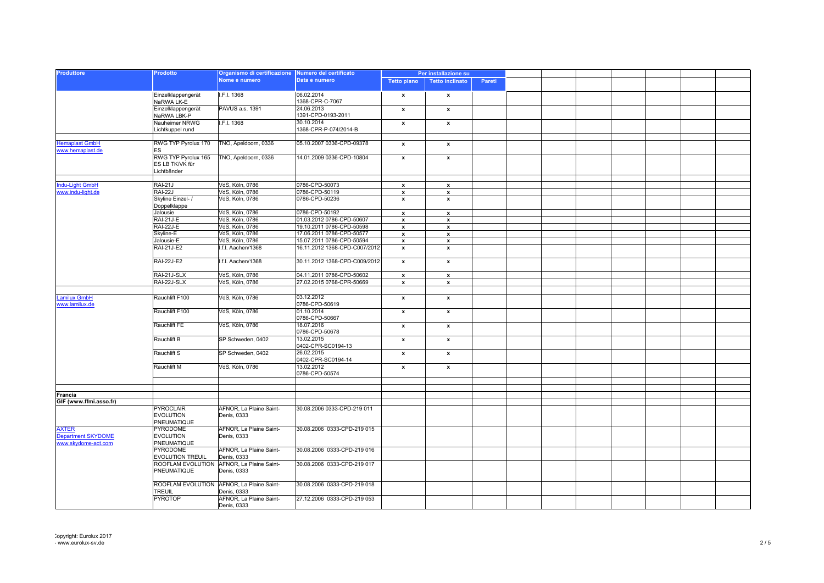| <b>Produttore</b>                         | Prodotto                                              | Organismo di certificazione Numero del certificato<br>Nome e numero | Data e numero                       | Per installazione su |                           |        |  |  |  |
|-------------------------------------------|-------------------------------------------------------|---------------------------------------------------------------------|-------------------------------------|----------------------|---------------------------|--------|--|--|--|
|                                           |                                                       |                                                                     |                                     | <b>Tetto piano</b>   | <b>Tetto inclinato</b>    | Pareti |  |  |  |
|                                           | Einzelklappengerät<br>NaRWA LK-E                      | I.F.I. 1368                                                         | 06.02.2014<br>1368-CPR-C-7067       | x                    | $\boldsymbol{\mathsf{x}}$ |        |  |  |  |
|                                           | Einzelklappengerät<br>NaRWA LBK-P                     | PAVUS a.s. 1391                                                     | 24.06.2013<br>1391-CPD-0193-2011    | $\pmb{\mathsf{x}}$   | $\pmb{\mathsf{x}}$        |        |  |  |  |
|                                           | Nauheimer NRWG<br>Lichtkuppel rund                    | I.F.I. 1368                                                         | 30.10.2014<br>1368-CPR-P-074/2014-B | $\pmb{\mathsf{x}}$   | $\mathbf{x}$              |        |  |  |  |
|                                           |                                                       |                                                                     |                                     |                      |                           |        |  |  |  |
| <b>Hemaplast GmbH</b><br>www.hemaplast.de | RWG TYP Pyrolux 170<br>ES                             | TNO, Apeldoorn, 0336                                                | 05.10.2007 0336-CPD-09378           | $\pmb{\mathsf{x}}$   | $\mathbf{x}$              |        |  |  |  |
|                                           | RWG TYP Pyrolux 165<br>ES LB TK/VK für<br>Lichtbänder | TNO, Apeldoorn, 0336                                                | 14.01.2009 0336-CPD-10804           | $\pmb{\mathsf{x}}$   | $\pmb{\mathsf{x}}$        |        |  |  |  |
|                                           |                                                       |                                                                     |                                     |                      |                           |        |  |  |  |
| ndu-Light GmbH                            | <b>RAI-21J</b>                                        | VdS, Köln, 0786                                                     | 0786-CPD-50073                      | $\pmb{\mathsf{x}}$   | $\boldsymbol{\mathsf{x}}$ |        |  |  |  |
| www.indu-light.de                         | <b>RAI-22J</b>                                        | VdS, Köln, 0786                                                     | 0786-CPD-50119                      | $\pmb{\mathsf{x}}$   | $\boldsymbol{\mathsf{x}}$ |        |  |  |  |
|                                           | Skyline Einzel- /<br>Doppelklappe                     | VdS, Köln, 0786                                                     | 0786-CPD-50236                      | $\pmb{\mathsf{x}}$   | $\pmb{\mathsf{x}}$        |        |  |  |  |
|                                           | Jalousie                                              | VdS, Köln, 0786                                                     | 0786-CPD-50192                      | $\mathbf{x}$         | $\mathbf{x}$              |        |  |  |  |
|                                           | <b>RAI-21J-E</b>                                      | VdS, Köln, 0786                                                     | 01.03.2012 0786-CPD-50607           | $\pmb{\mathsf{x}}$   | $\boldsymbol{\mathsf{x}}$ |        |  |  |  |
|                                           | <b>RAI-22J-E</b>                                      | VdS, Köln, 0786                                                     | 19.10.2011 0786-CPD-50598           | $\pmb{\mathsf{x}}$   | $\pmb{\mathsf{x}}$        |        |  |  |  |
|                                           | Skyline-E                                             | VdS, Köln, 0786                                                     | 17.06.2011 0786-CPD-50577           | $\pmb{\mathsf{x}}$   | $\mathbf{x}$              |        |  |  |  |
|                                           | Jalousie-E                                            | VdS, Köln, 0786                                                     | 15.07.2011 0786-CPD-50594           | $\pmb{\mathsf{x}}$   | $\pmb{\mathsf{x}}$        |        |  |  |  |
|                                           | <b>RAI-21J-E2</b>                                     | I.f.I. Aachen/1368                                                  | 16.11.2012 1368-CPD-C007/2012       | $\pmb{\mathsf{x}}$   | $\pmb{\mathsf{x}}$        |        |  |  |  |
|                                           |                                                       |                                                                     |                                     |                      |                           |        |  |  |  |
|                                           | <b>RAI-22J-E2</b>                                     | I.f.I. Aachen/1368                                                  | 30.11.2012 1368-CPD-C009/2012       | $\pmb{\mathsf{x}}$   | $\mathbf{x}$              |        |  |  |  |
|                                           | RAI-21J-SLX                                           | VdS, Köln, 0786                                                     | 04.11.2011 0786-CPD-50602           | $\pmb{\mathsf{x}}$   | $\mathbf{x}$              |        |  |  |  |
|                                           | RAI-22J-SLX                                           | VdS, Köln, 0786                                                     | 27.02.2015 0768-CPR-50669           | $\pmb{\mathsf{x}}$   | $\mathbf{x}$              |        |  |  |  |
|                                           |                                                       |                                                                     |                                     |                      |                           |        |  |  |  |
| <b>Lamilux GmbH</b><br>www.lamilux.de     | Rauchlift F100                                        | VdS, Köln, 0786                                                     | 03.12.2012<br>0786-CPD-50619        | $\mathbf{x}$         | $\mathbf{x}$              |        |  |  |  |
|                                           | Rauchlift F100                                        | VdS, Köln, 0786                                                     | 01.10.2014<br>0786-CPD-50667        | $\pmb{\mathsf{x}}$   | $\mathbf{x}$              |        |  |  |  |
|                                           | Rauchlift FE                                          | VdS, Köln, 0786                                                     | 18.07.2016<br>0786-CPD-50678        | $\pmb{\mathsf{x}}$   | $\mathbf{x}$              |        |  |  |  |
|                                           | Rauchlift B                                           | SP Schweden, 0402                                                   | 13.02.2015<br>0402-CPR-SC0194-13    | $\pmb{\chi}$         | $\boldsymbol{\mathsf{x}}$ |        |  |  |  |
|                                           | Rauchlift S                                           | SP Schweden, 0402                                                   | 26.02.2015<br>0402-CPR-SC0194-14    | $\pmb{\mathsf{x}}$   | $\mathbf{x}$              |        |  |  |  |
|                                           | Rauchlift M                                           | VdS, Köln, 0786                                                     | 13.02.2012<br>0786-CPD-50574        | $\pmb{\mathsf{x}}$   | $\mathbf{x}$              |        |  |  |  |
|                                           |                                                       |                                                                     |                                     |                      |                           |        |  |  |  |
|                                           |                                                       |                                                                     |                                     |                      |                           |        |  |  |  |
| Francia                                   |                                                       |                                                                     |                                     |                      |                           |        |  |  |  |
| GIF (www.ffmi.asso.fr)                    |                                                       |                                                                     |                                     |                      |                           |        |  |  |  |
|                                           | <b>PYROCLAIR</b><br><b>EVOLUTION</b><br>PNEUMATIQUE   | AFNOR. La Plaine Saint-<br>Denis, 0333                              | 30.08.2006 0333-CPD-219 011         |                      |                           |        |  |  |  |
| <b>AXTER</b><br><b>Department SKYDOME</b> | PYRODOME<br><b>EVOLUTION</b>                          | AFNOR. La Plaine Saint-<br>Denis, 0333                              | 30.08.2006 0333-CPD-219 015         |                      |                           |        |  |  |  |
| www.skydome-act.com                       | PNEUMATIQUE<br><b>PYRODOME</b>                        | AFNOR, La Plaine Saint-                                             | 30.08.2006 0333-CPD-219 016         |                      |                           |        |  |  |  |
|                                           | <b>EVOLUTION TREUIL</b><br>ROOFLAM EVOLUTION          | Denis, 0333<br>AFNOR, La Plaine Saint-                              | 30.08.2006 0333-CPD-219 017         |                      |                           |        |  |  |  |
|                                           | PNEUMATIQUE                                           | Denis, 0333                                                         |                                     |                      |                           |        |  |  |  |
|                                           | ROOFLAM EVOLUTION<br><b>TREUIL</b>                    | AFNOR, La Plaine Saint-<br>Denis, 0333                              | 30.08.2006 0333-CPD-219 018         |                      |                           |        |  |  |  |
|                                           | <b>PYROTOP</b>                                        | AFNOR, La Plaine Saint-<br>Denis, 0333                              | 27.12.2006 0333-CPD-219 053         |                      |                           |        |  |  |  |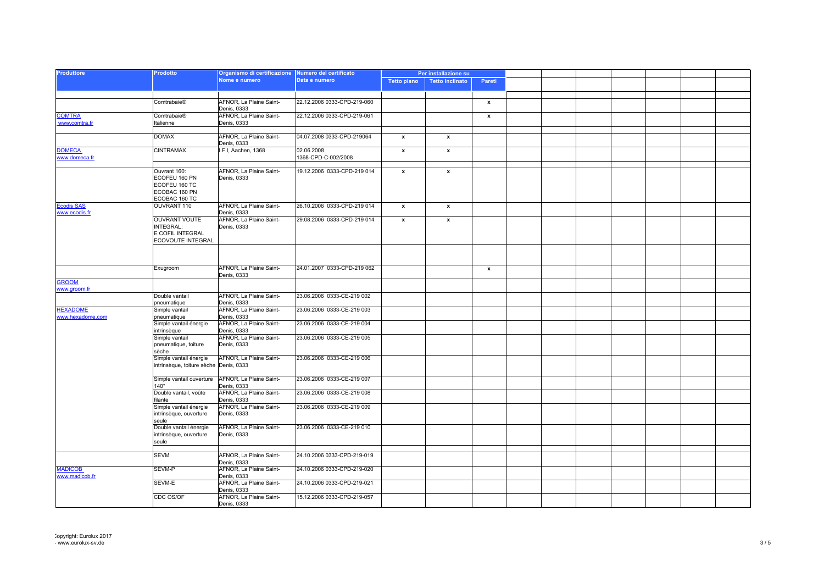| <b>Produttore</b> | Prodotto                               | Organismo di certificazione Numero del certificato<br>Nome e numero | Data e numero               | Per installazione su |                           |                           |  |  |  |
|-------------------|----------------------------------------|---------------------------------------------------------------------|-----------------------------|----------------------|---------------------------|---------------------------|--|--|--|
|                   |                                        |                                                                     |                             | <b>Tetto piano</b>   | <b>Tetto inclinato</b>    | Pareti                    |  |  |  |
|                   |                                        |                                                                     |                             |                      |                           |                           |  |  |  |
|                   |                                        |                                                                     |                             |                      |                           |                           |  |  |  |
|                   | Comtrabaie®                            | AFNOR, La Plaine Saint-<br>Denis, 0333                              | 22.12.2006 0333-CPD-219-060 |                      |                           | $\boldsymbol{\mathsf{x}}$ |  |  |  |
| <b>COMTRA</b>     | Comtrabaie®                            | AFNOR, La Plaine Saint-                                             | 22.12.2006 0333-CPD-219-061 |                      |                           | $\boldsymbol{\mathsf{x}}$ |  |  |  |
| www.comtra.fr     | Italienne                              | Denis, 0333                                                         |                             |                      |                           |                           |  |  |  |
|                   |                                        |                                                                     |                             |                      |                           |                           |  |  |  |
|                   | <b>DOMAX</b>                           | AFNOR, La Plaine Saint-<br>Denis, 0333                              | 04.07.2008 0333-CPD-219064  | $\mathbf{x}$         | $\boldsymbol{\mathsf{x}}$ |                           |  |  |  |
| <b>DOMECA</b>     | <b>CINTRAMAX</b>                       | I.F.I, Aachen, 1368                                                 | 02.06.2008                  | $\pmb{\mathsf{x}}$   | $\pmb{\mathsf{x}}$        |                           |  |  |  |
| www.domeca.fr     |                                        |                                                                     | 1368-CPD-C-002/2008         |                      |                           |                           |  |  |  |
|                   |                                        |                                                                     |                             |                      |                           |                           |  |  |  |
|                   | Ouvrant 160:                           | AFNOR, La Plaine Saint-                                             | 19.12.2006 0333-CPD-219 014 | $\mathbf{x}$         | $\pmb{\mathsf{x}}$        |                           |  |  |  |
|                   | ECOFEU 160 PN                          | Denis, 0333                                                         |                             |                      |                           |                           |  |  |  |
|                   | ECOFEU 160 TC                          |                                                                     |                             |                      |                           |                           |  |  |  |
|                   | ECOBAC 160 PN                          |                                                                     |                             |                      |                           |                           |  |  |  |
|                   | ECOBAC 160 TC                          |                                                                     |                             |                      |                           |                           |  |  |  |
| <b>Ecodis SAS</b> | OUVRANT 110                            | AFNOR, La Plaine Saint-                                             | 26.10.2006 0333-CPD-219 014 | $\mathbf{x}$         | $\mathbf{x}$              |                           |  |  |  |
| www.ecodis.fr     |                                        | Denis, 0333                                                         |                             |                      |                           |                           |  |  |  |
|                   | <b>OUVRANT VOUTE</b>                   | AFNOR, La Plaine Saint-                                             | 29.08.2006 0333-CPD-219 014 | $\mathbf{x}$         | $\boldsymbol{\mathsf{x}}$ |                           |  |  |  |
|                   | INTEGRAL:                              | Denis, 0333                                                         |                             |                      |                           |                           |  |  |  |
|                   | E COFIL INTEGRAL                       |                                                                     |                             |                      |                           |                           |  |  |  |
|                   | ECOVOUTE INTEGRAL                      |                                                                     |                             |                      |                           |                           |  |  |  |
|                   |                                        |                                                                     |                             |                      |                           |                           |  |  |  |
|                   |                                        |                                                                     |                             |                      |                           |                           |  |  |  |
|                   |                                        |                                                                     |                             |                      |                           |                           |  |  |  |
|                   | Exugroom                               | AFNOR. La Plaine Saint-                                             | 24.01.2007 0333-CPD-219 062 |                      |                           | $\pmb{\mathsf{x}}$        |  |  |  |
|                   |                                        | Denis, 0333                                                         |                             |                      |                           |                           |  |  |  |
| GROOM             |                                        |                                                                     |                             |                      |                           |                           |  |  |  |
| www.groom.fr      |                                        |                                                                     |                             |                      |                           |                           |  |  |  |
|                   | Double vantail                         | AFNOR, La Plaine Saint-                                             | 23.06.2006 0333-CE-219 002  |                      |                           |                           |  |  |  |
|                   | pneumatique                            | Denis, 0333                                                         |                             |                      |                           |                           |  |  |  |
| <b>HEXADOME</b>   | Simple vantail                         | AFNOR, La Plaine Saint-                                             | 23.06.2006 0333-CE-219 003  |                      |                           |                           |  |  |  |
| www.hexadome.com  | pneumatique                            | Denis, 0333                                                         |                             |                      |                           |                           |  |  |  |
|                   | Simple vantail énergie                 | AFNOR, La Plaine Saint-                                             | 23.06.2006 0333-CE-219 004  |                      |                           |                           |  |  |  |
|                   | intrinsèque                            | Denis, 0333                                                         |                             |                      |                           |                           |  |  |  |
|                   | Simple vantail                         | AFNOR, La Plaine Saint-                                             | 23.06.2006 0333-CE-219 005  |                      |                           |                           |  |  |  |
|                   | pneumatique, toiture                   | Denis, 0333                                                         |                             |                      |                           |                           |  |  |  |
|                   | sèche                                  |                                                                     |                             |                      |                           |                           |  |  |  |
|                   | Simple vantail énergie                 | AFNOR, La Plaine Saint-                                             | 23.06.2006 0333-CE-219 006  |                      |                           |                           |  |  |  |
|                   | intrinsèque, toiture sèche Denis, 0333 |                                                                     |                             |                      |                           |                           |  |  |  |
|                   |                                        |                                                                     |                             |                      |                           |                           |  |  |  |
|                   | Simple vantail ouverture               | AFNOR, La Plaine Saint-                                             | 23.06.2006 0333-CE-219 007  |                      |                           |                           |  |  |  |
|                   | $140^\circ$                            | Denis, 0333                                                         |                             |                      |                           |                           |  |  |  |
|                   | Double vantail, voûte                  | AFNOR, La Plaine Saint-                                             | 23.06.2006 0333-CE-219 008  |                      |                           |                           |  |  |  |
|                   | filante                                | Denis, 0333                                                         |                             |                      |                           |                           |  |  |  |
|                   | Simple vantail énergie                 | AFNOR, La Plaine Saint-                                             | 23.06.2006 0333-CE-219 009  |                      |                           |                           |  |  |  |
|                   | intrinsèque, ouverture                 | Denis, 0333                                                         |                             |                      |                           |                           |  |  |  |
|                   | seule                                  |                                                                     |                             |                      |                           |                           |  |  |  |
|                   | Double vantail énergie                 | AFNOR, La Plaine Saint-                                             | 23.06.2006 0333-CE-219 010  |                      |                           |                           |  |  |  |
|                   | intrinsèque, ouverture                 | Denis, 0333                                                         |                             |                      |                           |                           |  |  |  |
|                   | seule                                  |                                                                     |                             |                      |                           |                           |  |  |  |
|                   |                                        |                                                                     |                             |                      |                           |                           |  |  |  |
|                   | <b>SEVM</b>                            | AFNOR, La Plaine Saint-                                             | 24.10.2006 0333-CPD-219-019 |                      |                           |                           |  |  |  |
| <b>MADICOB</b>    | SEVM-P                                 | Denis, 0333                                                         | 24.10.2006 0333-CPD-219-020 |                      |                           |                           |  |  |  |
|                   |                                        | AFNOR, La Plaine Saint-                                             |                             |                      |                           |                           |  |  |  |
| www.madicob.fr    | SEVM-E                                 | Denis, 0333                                                         |                             |                      |                           |                           |  |  |  |
|                   |                                        | AFNOR, La Plaine Saint-<br>Denis, 0333                              | 24.10.2006 0333-CPD-219-021 |                      |                           |                           |  |  |  |
|                   | CDC OS/OF                              | AFNOR, La Plaine Saint-                                             | 15.12.2006 0333-CPD-219-057 |                      |                           |                           |  |  |  |
|                   |                                        | Denis, 0333                                                         |                             |                      |                           |                           |  |  |  |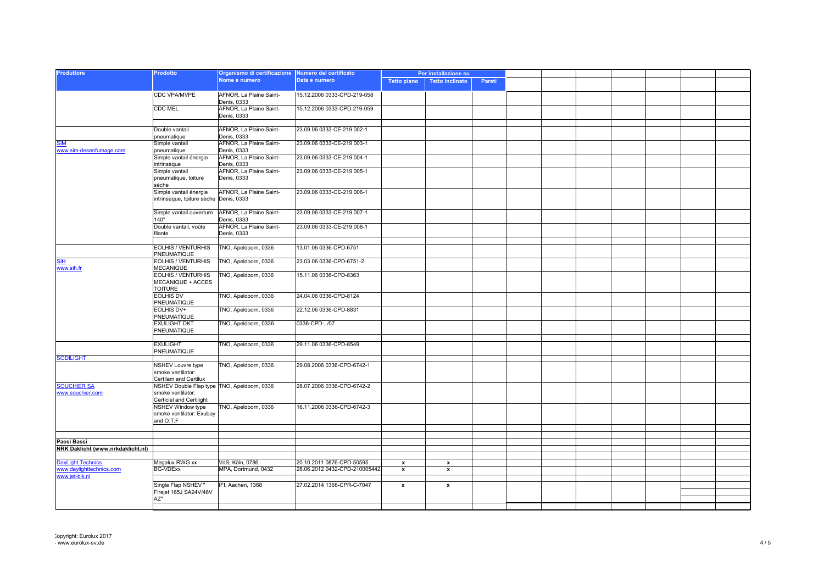| <b>Produttore</b>                      | Prodotto                                                                                     | Organismo di certificazione Numero del certificato<br>Nome e numero | Data e numero                 | Per installazione su |                        |        |  |  |  |
|----------------------------------------|----------------------------------------------------------------------------------------------|---------------------------------------------------------------------|-------------------------------|----------------------|------------------------|--------|--|--|--|
|                                        |                                                                                              |                                                                     |                               | <b>Tetto piano</b>   | <b>Tetto inclinato</b> | Pareti |  |  |  |
|                                        |                                                                                              |                                                                     |                               |                      |                        |        |  |  |  |
|                                        | CDC VPA/MVPE                                                                                 | AFNOR, La Plaine Saint-<br>Denis, 0333                              | 15.12.2006 0333-CPD-219-058   |                      |                        |        |  |  |  |
|                                        | <b>CDC MEL</b>                                                                               | AFNOR, La Plaine Saint-<br>Denis, 0333                              | 15.12.2006 0333-CPD-219-059   |                      |                        |        |  |  |  |
|                                        |                                                                                              |                                                                     |                               |                      |                        |        |  |  |  |
|                                        | Double vantail<br>pneumatique                                                                | AFNOR, La Plaine Saint-<br>Denis, 0333                              | 23.09.06 0333-CE-219 002-1    |                      |                        |        |  |  |  |
| <b>SIM</b><br>www.sim-desenfumage.com  | Simple vantail<br>pneumatique                                                                | AFNOR, La Plaine Saint-<br>Denis, 0333                              | 23.09.06 0333-CE-219 003-1    |                      |                        |        |  |  |  |
|                                        | Simple vantail énergie<br>intrinsèque                                                        | AFNOR, La Plaine Saint-<br>Denis, 0333                              | 23.09.06 0333-CE-219 004-1    |                      |                        |        |  |  |  |
|                                        | Simple vantail<br>pneumatique, toiture<br>sèche                                              | AFNOR, La Plaine Saint-<br>Denis, 0333                              | 23.09.06 0333-CE-219 005-1    |                      |                        |        |  |  |  |
|                                        | Simple vantail énergie<br>intrinsèque, toiture sèche Denis, 0333                             | AFNOR, La Plaine Saint-                                             | 23.09.06 0333-CE-219 006-1    |                      |                        |        |  |  |  |
|                                        | Simple vantail ouverture<br>$140^\circ$                                                      | AFNOR, La Plaine Saint-<br>Denis, 0333                              | 23.09.06 0333-CE-219 007-1    |                      |                        |        |  |  |  |
|                                        | Double vantail, voûte<br>filante                                                             | AFNOR, La Plaine Saint-<br>Denis, 0333                              | 23.09.06 0333-CE-219 008-1    |                      |                        |        |  |  |  |
|                                        |                                                                                              |                                                                     |                               |                      |                        |        |  |  |  |
|                                        | EOLHIS / VENTURHIS<br>PNEUMATIQUE                                                            | TNO, Apeldoorn, 0336                                                | 13.01.06 0336-CPD-6751        |                      |                        |        |  |  |  |
| <u>SIH</u><br>www.sih.fr               | EOLHIS / VENTURHIS<br><b>MECANIQUE</b>                                                       | TNO, Apeldoorn, 0336                                                | 23.03.06 0336-CPD-6751-2      |                      |                        |        |  |  |  |
|                                        | <b>EOLHIS / VENTURHIS</b><br>MECANIQUE + ACCES<br><b>TOITURE</b>                             | TNO, Apeldoorn, 0336                                                | 15.11.06 0336-CPD-8363        |                      |                        |        |  |  |  |
|                                        | <b>EOLHIS DV</b><br>PNEUMATIQUE                                                              | TNO, Apeldoorn, 0336                                                | 24.04.06 0336-CPD-8124        |                      |                        |        |  |  |  |
|                                        | EOLHIS DV+<br>PNEUMATIQUE                                                                    | TNO, Apeldoorn, 0336                                                | 22.12.06 0336-CPD-8831        |                      |                        |        |  |  |  |
|                                        | <b>EXULIGHT DKT</b><br>PNEUMATIQUE                                                           | TNO, Apeldoorn, 0336                                                | 0336-CPD-, /07                |                      |                        |        |  |  |  |
|                                        | <b>EXULIGHT</b><br>PNEUMATIQUE                                                               | TNO, Apeldoorn, 0336                                                | 29.11.06 0336-CPD-8549        |                      |                        |        |  |  |  |
| <b>SODILIGHT</b>                       |                                                                                              |                                                                     |                               |                      |                        |        |  |  |  |
|                                        | <b>NSHEV Louvre type</b><br>smoke ventilator:<br>Certilam and Certilux                       | TNO, Apeldoorn, 0336                                                | 29.08.2006 0336-CPD-6742-1    |                      |                        |        |  |  |  |
| <b>SOUCHIER SA</b><br>www.souchier.com | NSHEV Double Flap type TNO, Apeldoorn, 0336<br>smoke ventilator:<br>Certiciel and Certilight |                                                                     | 28.07.2006 0336-CPD-6742-2    |                      |                        |        |  |  |  |
|                                        | NSHEV Window type<br>smoke ventilator: Exubay<br>and O.T.F                                   | TNO, Apeldoorn, 0336                                                | 16.11.2006 0336-CPD-6742-3    |                      |                        |        |  |  |  |
|                                        |                                                                                              |                                                                     |                               |                      |                        |        |  |  |  |
|                                        |                                                                                              |                                                                     |                               |                      |                        |        |  |  |  |
| Paesi Bassi                            |                                                                                              |                                                                     |                               |                      |                        |        |  |  |  |
| NRK Daklicht (www.nrkdaklicht.nl)      |                                                                                              |                                                                     |                               |                      |                        |        |  |  |  |
| <b>DayLight Technics</b>               | Megalux RWG xx                                                                               | VdS, Köln, 0786                                                     | 20.10.2011 0876-CPD-50595     | $\pmb{\mathsf{x}}$   | $\pmb{\mathsf{x}}$     |        |  |  |  |
| www.daylighttechnics.com               | <b>BG-VDExx</b>                                                                              | MPA, Dortmund, 0432                                                 | 28.06.2012 0432-CPD-210005442 | $\pmb{\mathsf{x}}$   | $\pmb{\mathsf{x}}$     |        |  |  |  |
| www.jet-bik.nl                         |                                                                                              |                                                                     |                               |                      |                        |        |  |  |  |
|                                        | Single Flap NSHEV"                                                                           | IFI, Aachen, 1368                                                   | 27.02.2014 1368-CPR-C-7047    | x                    | x                      |        |  |  |  |
|                                        | Firejet 165J SA24V/48V                                                                       |                                                                     |                               |                      |                        |        |  |  |  |
|                                        | AZ"                                                                                          |                                                                     |                               |                      |                        |        |  |  |  |
|                                        |                                                                                              |                                                                     |                               |                      |                        |        |  |  |  |